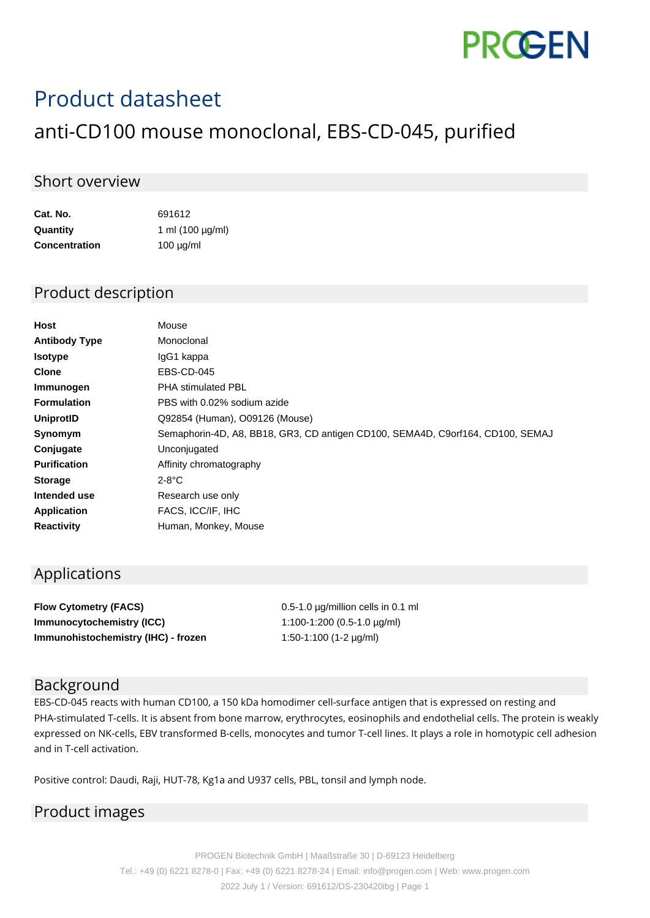# **PROGEN**

## Product datasheet

### anti-CD100 mouse monoclonal, EBS-CD-045, purified

#### Short overview

| Cat. No.             | 691612                |
|----------------------|-----------------------|
| Quantity             | 1 ml $(100 \mu g/ml)$ |
| <b>Concentration</b> | $100 \mu g/ml$        |

#### Product description

| Host                 | Mouse                                                                          |
|----------------------|--------------------------------------------------------------------------------|
| <b>Antibody Type</b> | Monoclonal                                                                     |
| <b>Isotype</b>       | IgG1 kappa                                                                     |
| <b>Clone</b>         | EBS-CD-045                                                                     |
| Immunogen            | <b>PHA stimulated PBL</b>                                                      |
| <b>Formulation</b>   | PBS with 0.02% sodium azide                                                    |
| <b>UniprotID</b>     | Q92854 (Human), O09126 (Mouse)                                                 |
| Synomym              | Semaphorin-4D, A8, BB18, GR3, CD antigen CD100, SEMA4D, C9orf164, CD100, SEMAJ |
| Conjugate            | Unconjugated                                                                   |
| <b>Purification</b>  | Affinity chromatography                                                        |
| <b>Storage</b>       | $2-8$ °C                                                                       |
| Intended use         | Research use only                                                              |
| <b>Application</b>   | FACS, ICC/IF, IHC                                                              |
| <b>Reactivity</b>    | Human, Monkey, Mouse                                                           |

#### Applications

| <b>Flow Cytometry (FACS)</b>        | $0.5$ -1.0 $\mu$ g/million cells in 0.1 ml |
|-------------------------------------|--------------------------------------------|
| Immunocytochemistry (ICC)           | 1:100-1:200 (0.5-1.0 $\mu$ g/ml)           |
| Immunohistochemistry (IHC) - frozen | 1:50-1:100 (1-2 $\mu$ g/ml)                |

#### Background

EBS-CD-045 reacts with human CD100, a 150 kDa homodimer cell-surface antigen that is expressed on resting and PHA-stimulated T-cells. It is absent from bone marrow, erythrocytes, eosinophils and endothelial cells. The protein is weakly expressed on NK-cells, EBV transformed B-cells, monocytes and tumor T-cell lines. It plays a role in homotypic cell adhesion and in T-cell activation.

Positive control: Daudi, Raji, HUT-78, Kg1a and U937 cells, PBL, tonsil and lymph node.

#### Product images